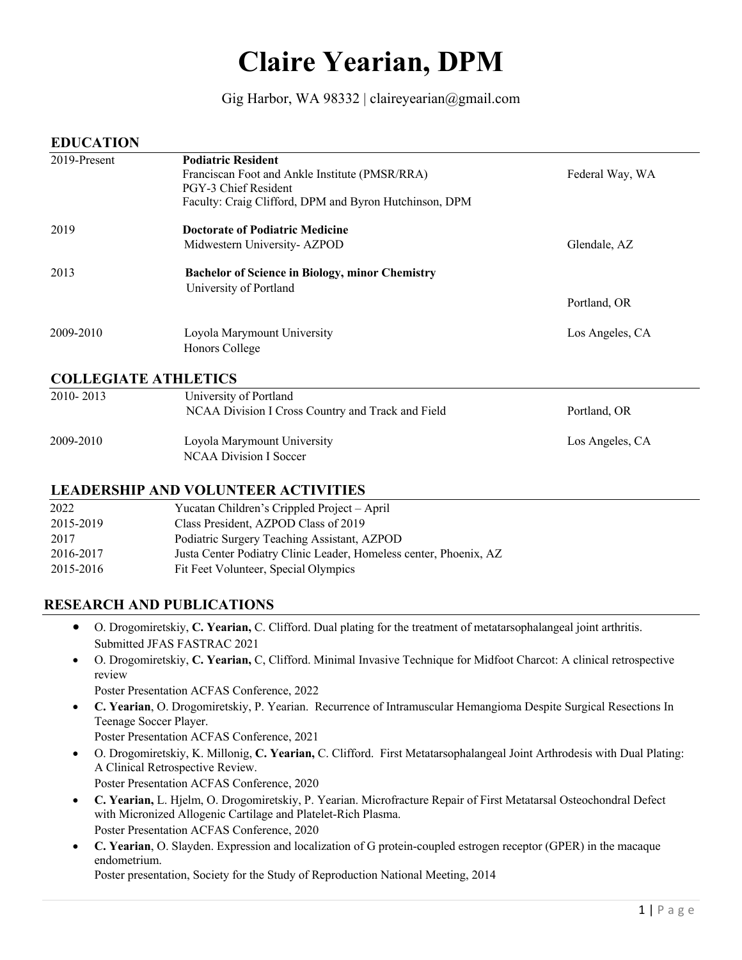# **Claire Yearian, DPM**

## Gig Harbor, WA 98332 | claireyearian@gmail.com

#### **EDUCATION**

| 2019-Present                | <b>Podiatric Resident</b>                              |                 |
|-----------------------------|--------------------------------------------------------|-----------------|
|                             | Franciscan Foot and Ankle Institute (PMSR/RRA)         | Federal Way, WA |
|                             | PGY-3 Chief Resident                                   |                 |
|                             | Faculty: Craig Clifford, DPM and Byron Hutchinson, DPM |                 |
| 2019                        | <b>Doctorate of Podiatric Medicine</b>                 |                 |
|                             | Midwestern University-AZPOD                            | Glendale, AZ    |
| 2013                        | <b>Bachelor of Science in Biology, minor Chemistry</b> |                 |
|                             | University of Portland                                 |                 |
|                             |                                                        | Portland, OR    |
| 2009-2010                   | Loyola Marymount University                            | Los Angeles, CA |
|                             | Honors College                                         |                 |
| <b>COLLEGIATE ATHLETICS</b> |                                                        |                 |
| 2010-2013                   | University of Portland                                 |                 |
|                             | NCAA Division I Cross Country and Track and Field      | Portland, OR    |

## 2009-2010 Loyola Marymount University Los Angeles, CA NCAA Division I Soccer

## **LEADERSHIP AND VOLUNTEER ACTIVITIES**

| 2022      | Yucatan Children's Crippled Project – April                       |
|-----------|-------------------------------------------------------------------|
| 2015-2019 | Class President, AZPOD Class of 2019                              |
| 2017      | Podiatric Surgery Teaching Assistant, AZPOD                       |
| 2016-2017 | Justa Center Podiatry Clinic Leader, Homeless center, Phoenix, AZ |
| 2015-2016 | Fit Feet Volunteer, Special Olympics                              |

## **RESEARCH AND PUBLICATIONS**

- O. Drogomiretskiy, **C. Yearian,** C. Clifford. Dual plating for the treatment of metatarsophalangeal joint arthritis. Submitted JFAS FASTRAC 2021
- O. Drogomiretskiy, **C. Yearian,** C, Clifford. Minimal Invasive Technique for Midfoot Charcot: A clinical retrospective review
	- Poster Presentation ACFAS Conference, 2022
- **C. Yearian**, O. Drogomiretskiy, P. Yearian. Recurrence of Intramuscular Hemangioma Despite Surgical Resections In Teenage Soccer Player. Poster Presentation ACFAS Conference, 2021
- O. Drogomiretskiy, K. Millonig, **C. Yearian,** C. Clifford. First Metatarsophalangeal Joint Arthrodesis with Dual Plating: A Clinical Retrospective Review. Poster Presentation ACFAS Conference, 2020
- **C. Yearian,** L. Hjelm, O. Drogomiretskiy, P. Yearian. Microfracture Repair of First Metatarsal Osteochondral Defect with Micronized Allogenic Cartilage and Platelet-Rich Plasma. Poster Presentation ACFAS Conference, 2020
- **C. Yearian**, O. Slayden. Expression and localization of G protein-coupled estrogen receptor (GPER) in the macaque endometrium.

Poster presentation, Society for the Study of Reproduction National Meeting, 2014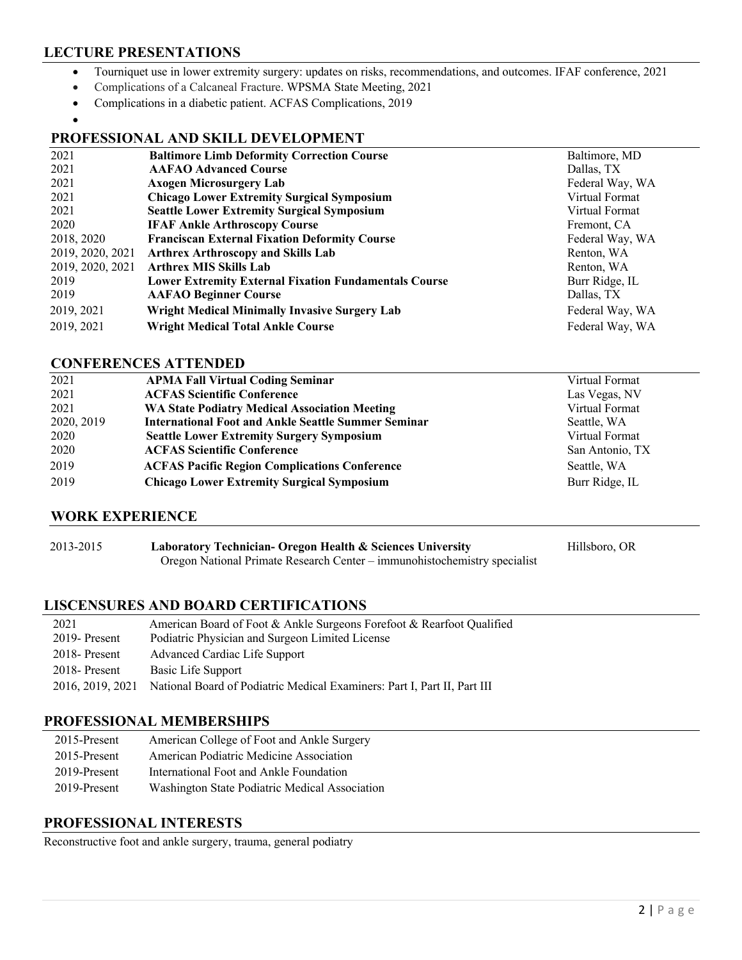## **LECTURE PRESENTATIONS**

- Tourniquet use in lower extremity surgery: updates on risks, recommendations, and outcomes. IFAF conference, 2021
- Complications of a Calcaneal Fracture. WPSMA State Meeting, 2021
- Complications in a diabetic patient. ACFAS Complications, 2019
- •

## **PROFESSIONAL AND SKILL DEVELOPMENT**

| 2021             | <b>Baltimore Limb Deformity Correction Course</b>            | Baltimore, MD   |
|------------------|--------------------------------------------------------------|-----------------|
| 2021             | <b>AAFAO Advanced Course</b>                                 | Dallas, TX      |
| 2021             | <b>Axogen Microsurgery Lab</b>                               | Federal Way, WA |
| 2021             | <b>Chicago Lower Extremity Surgical Symposium</b>            | Virtual Format  |
| 2021             | <b>Seattle Lower Extremity Surgical Symposium</b>            | Virtual Format  |
| 2020             | <b>IFAF Ankle Arthroscopy Course</b>                         | Fremont, CA     |
| 2018, 2020       | <b>Franciscan External Fixation Deformity Course</b>         | Federal Way, WA |
| 2019, 2020, 2021 | <b>Arthrex Arthroscopy and Skills Lab</b>                    | Renton, WA      |
| 2019, 2020, 2021 | <b>Arthrex MIS Skills Lab</b>                                | Renton, WA      |
| 2019             | <b>Lower Extremity External Fixation Fundamentals Course</b> | Burr Ridge, IL  |
| 2019             | <b>AAFAO Beginner Course</b>                                 | Dallas, TX      |
| 2019, 2021       | <b>Wright Medical Minimally Invasive Surgery Lab</b>         | Federal Way, WA |
| 2019, 2021       | <b>Wright Medical Total Ankle Course</b>                     | Federal Way, WA |

#### **CONFERENCES ATTENDED**

| 2021       | <b>APMA Fall Virtual Coding Seminar</b>                    | Virtual Format  |
|------------|------------------------------------------------------------|-----------------|
| 2021       | <b>ACFAS Scientific Conference</b>                         | Las Vegas, NV   |
| 2021       | <b>WA State Podiatry Medical Association Meeting</b>       | Virtual Format  |
| 2020, 2019 | <b>International Foot and Ankle Seattle Summer Seminar</b> | Seattle, WA     |
| 2020       | <b>Seattle Lower Extremity Surgery Symposium</b>           | Virtual Format  |
| 2020       | <b>ACFAS Scientific Conference</b>                         | San Antonio, TX |
| 2019       | <b>ACFAS Pacific Region Complications Conference</b>       | Seattle, WA     |
| 2019       | <b>Chicago Lower Extremity Surgical Symposium</b>          | Burr Ridge, IL  |

#### **WORK EXPERIENCE**

| 2013-2015 | Laboratory Technician- Oregon Health & Sciences University                | Hillsboro, OR |
|-----------|---------------------------------------------------------------------------|---------------|
|           | Oregon National Primate Research Center – immunohistochemistry specialist |               |

#### **LISCENSURES AND BOARD CERTIFICATIONS**

| 2021           | American Board of Foot & Ankle Surgeons Forefoot & Rearfoot Qualified                     |
|----------------|-------------------------------------------------------------------------------------------|
| 2019- Present  | Podiatric Physician and Surgeon Limited License                                           |
| 2018 - Present | Advanced Cardiac Life Support                                                             |
| 2018 - Present | Basic Life Support                                                                        |
|                | 2016, 2019, 2021 National Board of Podiatric Medical Examiners: Part I, Part II, Part III |

#### **PROFESSIONAL MEMBERSHIPS**

| 2015-Present | American College of Foot and Ankle Surgery     |
|--------------|------------------------------------------------|
| 2015-Present | American Podiatric Medicine Association        |
| 2019-Present | International Foot and Ankle Foundation        |
| 2019-Present | Washington State Podiatric Medical Association |

#### **PROFESSIONAL INTERESTS**

Reconstructive foot and ankle surgery, trauma, general podiatry